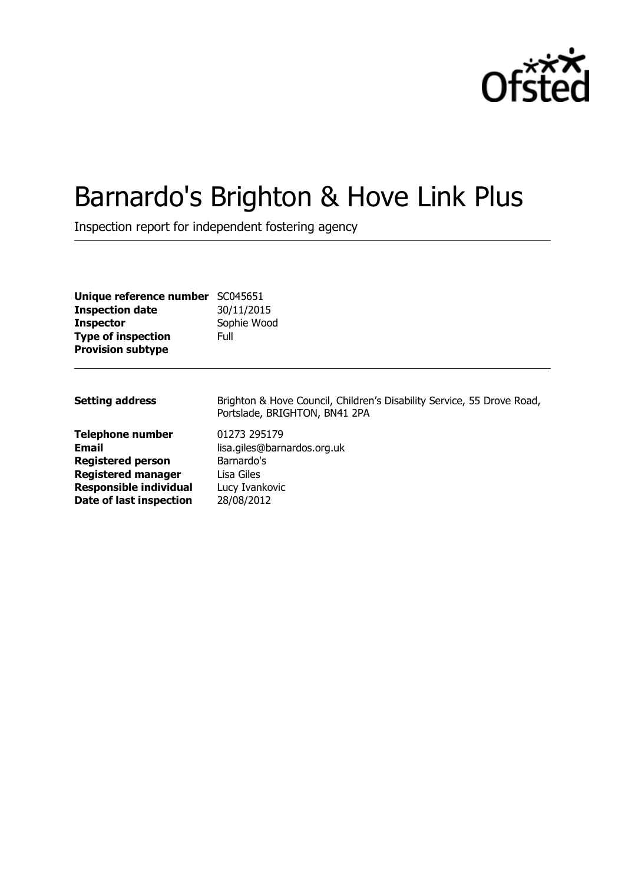

# Barnardo's Brighton & Hove Link Plus

Inspection report for independent fostering agency

| Unique reference number<br><b>Inspection date</b><br><b>Inspector</b><br><b>Type of inspection</b><br><b>Provision subtype</b>                        | SC045651<br>30/11/2015<br>Sophie Wood<br>Full                                                           |
|-------------------------------------------------------------------------------------------------------------------------------------------------------|---------------------------------------------------------------------------------------------------------|
| <b>Setting address</b>                                                                                                                                | Brighton & Hove Council, Children's Disability Service, 55 Drove Road,<br>Portslade, BRIGHTON, BN41 2PA |
| <b>Telephone number</b><br>Email<br><b>Registered person</b><br><b>Registered manager</b><br><b>Responsible individual</b><br>Date of last inspection | 01273 295179<br>lisa.giles@barnardos.org.uk<br>Barnardo's<br>Lisa Giles<br>Lucy Ivankovic<br>28/08/2012 |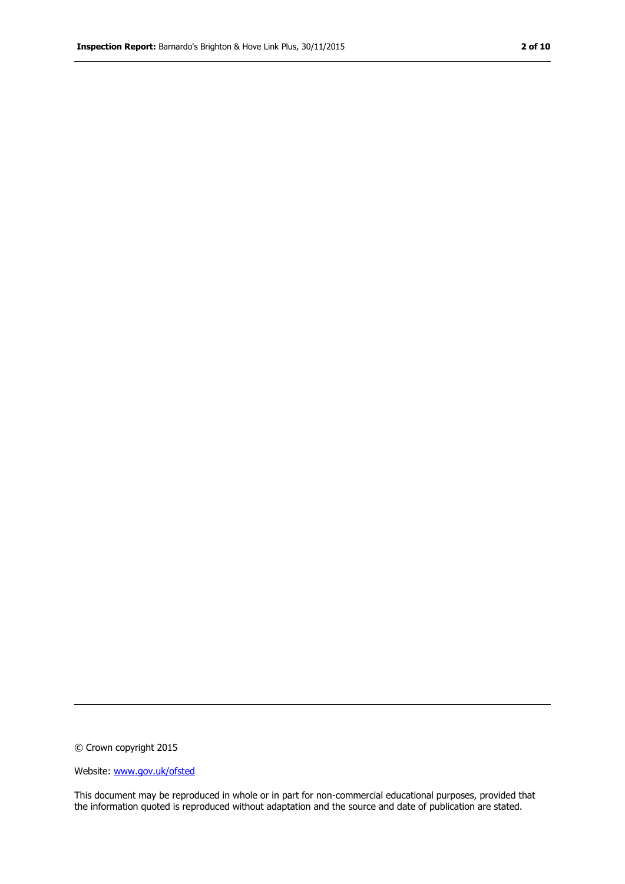© Crown copyright 2015

Website: www.gov.uk/ofsted

This document may be reproduced in whole or in part for non-commercial educational purposes, provided that the information quoted is reproduced without adaptation and the source and date of publication are stated.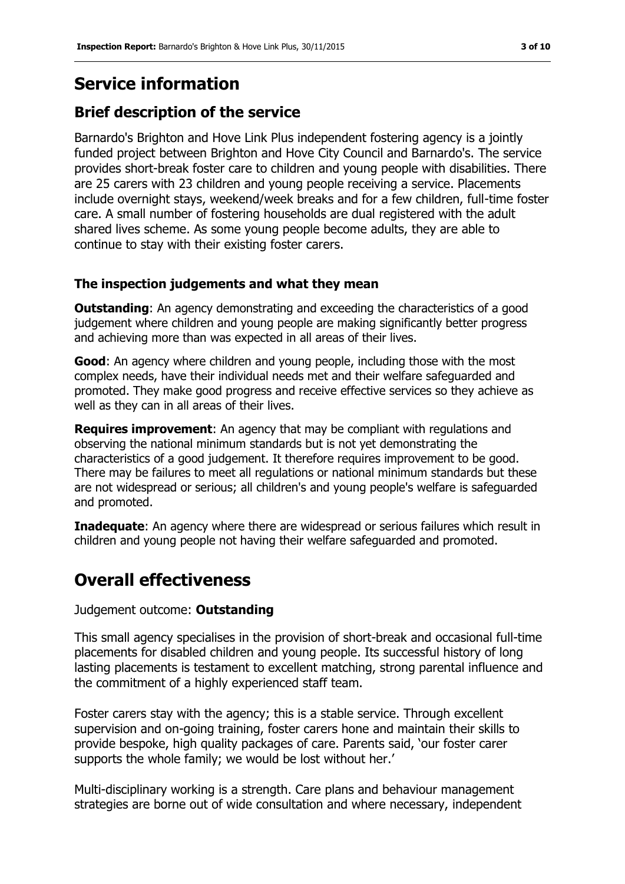### **Service information**

### **Brief description of the service**

Barnardo's Brighton and Hove Link Plus independent fostering agency is a jointly funded project between Brighton and Hove City Council and Barnardo's. The service provides short-break foster care to children and young people with disabilities. There are 25 carers with 23 children and young people receiving a service. Placements include overnight stays, weekend/week breaks and for a few children, full-time foster care. A small number of fostering households are dual registered with the adult shared lives scheme. As some young people become adults, they are able to continue to stay with their existing foster carers.

#### **The inspection judgements and what they mean**

**Outstanding:** An agency demonstrating and exceeding the characteristics of a good judgement where children and young people are making significantly better progress and achieving more than was expected in all areas of their lives.

**Good:** An agency where children and young people, including those with the most complex needs, have their individual needs met and their welfare safeguarded and promoted. They make good progress and receive effective services so they achieve as well as they can in all areas of their lives.

**Requires improvement**: An agency that may be compliant with regulations and observing the national minimum standards but is not yet demonstrating the characteristics of a good judgement. It therefore requires improvement to be good. There may be failures to meet all regulations or national minimum standards but these are not widespread or serious; all children's and young people's welfare is safeguarded and promoted.

**Inadequate:** An agency where there are widespread or serious failures which result in children and young people not having their welfare safeguarded and promoted.

### **Overall effectiveness**

Judgement outcome: **Outstanding**

This small agency specialises in the provision of short-break and occasional full-time placements for disabled children and young people. Its successful history of long lasting placements is testament to excellent matching, strong parental influence and the commitment of a highly experienced staff team.

Foster carers stay with the agency; this is a stable service. Through excellent supervision and on-going training, foster carers hone and maintain their skills to provide bespoke, high quality packages of care. Parents said, 'our foster carer supports the whole family; we would be lost without her.'

Multi-disciplinary working is a strength. Care plans and behaviour management strategies are borne out of wide consultation and where necessary, independent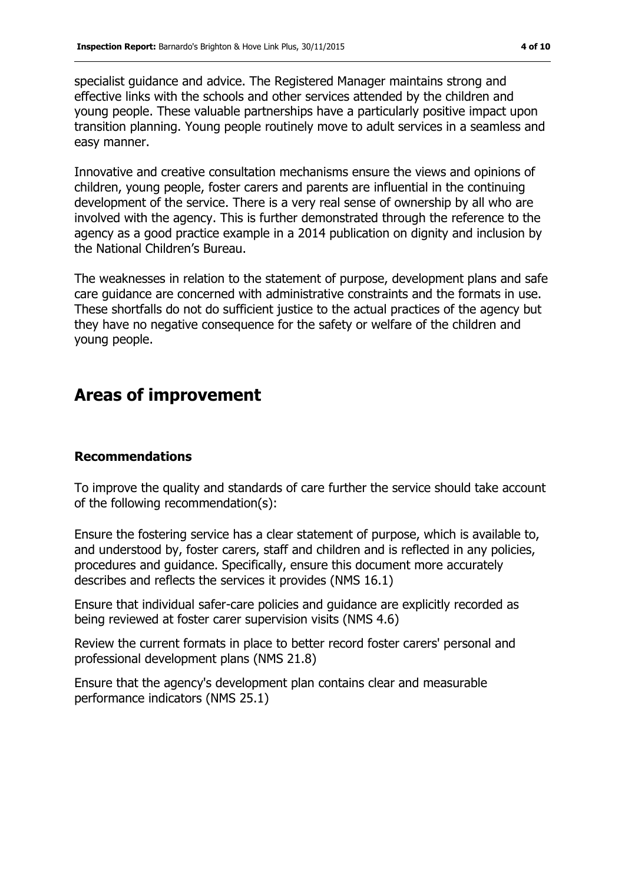specialist guidance and advice. The Registered Manager maintains strong and effective links with the schools and other services attended by the children and young people. These valuable partnerships have a particularly positive impact upon transition planning. Young people routinely move to adult services in a seamless and easy manner.

Innovative and creative consultation mechanisms ensure the views and opinions of children, young people, foster carers and parents are influential in the continuing development of the service. There is a very real sense of ownership by all who are involved with the agency. This is further demonstrated through the reference to the agency as a good practice example in a 2014 publication on dignity and inclusion by the National Children's Bureau.

The weaknesses in relation to the statement of purpose, development plans and safe care guidance are concerned with administrative constraints and the formats in use. These shortfalls do not do sufficient justice to the actual practices of the agency but they have no negative consequence for the safety or welfare of the children and young people.

# **Areas of improvement**

#### **Recommendations**

To improve the quality and standards of care further the service should take account of the following recommendation(s):

Ensure the fostering service has a clear statement of purpose, which is available to, and understood by, foster carers, staff and children and is reflected in any policies, procedures and guidance. Specifically, ensure this document more accurately describes and reflects the services it provides (NMS 16.1)

Ensure that individual safer-care policies and guidance are explicitly recorded as being reviewed at foster carer supervision visits (NMS 4.6)

Review the current formats in place to better record foster carers' personal and professional development plans (NMS 21.8)

Ensure that the agency's development plan contains clear and measurable performance indicators (NMS 25.1)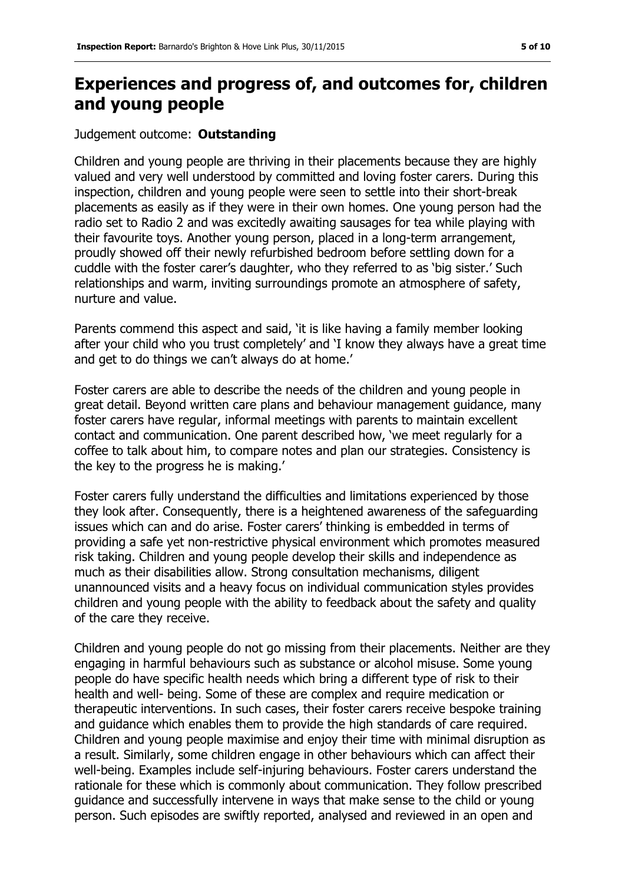## **Experiences and progress of, and outcomes for, children and young people**

#### Judgement outcome: **Outstanding**

Children and young people are thriving in their placements because they are highly valued and very well understood by committed and loving foster carers. During this inspection, children and young people were seen to settle into their short-break placements as easily as if they were in their own homes. One young person had the radio set to Radio 2 and was excitedly awaiting sausages for tea while playing with their favourite toys. Another young person, placed in a long-term arrangement, proudly showed off their newly refurbished bedroom before settling down for a cuddle with the foster carer's daughter, who they referred to as 'big sister.' Such relationships and warm, inviting surroundings promote an atmosphere of safety, nurture and value.

Parents commend this aspect and said, 'it is like having a family member looking after your child who you trust completely' and 'I know they always have a great time and get to do things we can't always do at home.'

Foster carers are able to describe the needs of the children and young people in great detail. Beyond written care plans and behaviour management guidance, many foster carers have regular, informal meetings with parents to maintain excellent contact and communication. One parent described how, 'we meet regularly for a coffee to talk about him, to compare notes and plan our strategies. Consistency is the key to the progress he is making.'

Foster carers fully understand the difficulties and limitations experienced by those they look after. Consequently, there is a heightened awareness of the safeguarding issues which can and do arise. Foster carers' thinking is embedded in terms of providing a safe yet non-restrictive physical environment which promotes measured risk taking. Children and young people develop their skills and independence as much as their disabilities allow. Strong consultation mechanisms, diligent unannounced visits and a heavy focus on individual communication styles provides children and young people with the ability to feedback about the safety and quality of the care they receive.

Children and young people do not go missing from their placements. Neither are they engaging in harmful behaviours such as substance or alcohol misuse. Some young people do have specific health needs which bring a different type of risk to their health and well- being. Some of these are complex and require medication or therapeutic interventions. In such cases, their foster carers receive bespoke training and guidance which enables them to provide the high standards of care required. Children and young people maximise and enjoy their time with minimal disruption as a result. Similarly, some children engage in other behaviours which can affect their well-being. Examples include self-injuring behaviours. Foster carers understand the rationale for these which is commonly about communication. They follow prescribed guidance and successfully intervene in ways that make sense to the child or young person. Such episodes are swiftly reported, analysed and reviewed in an open and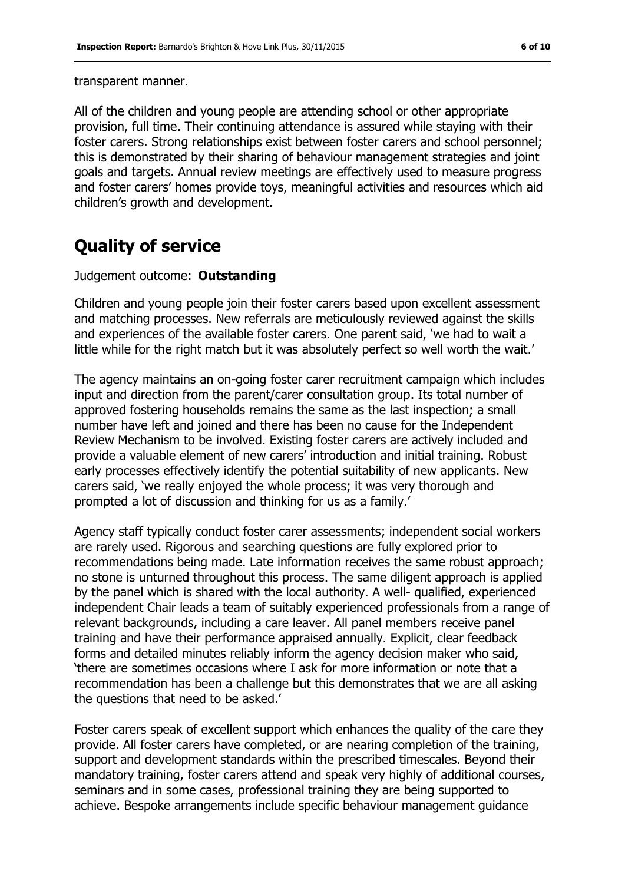transparent manner.

All of the children and young people are attending school or other appropriate provision, full time. Their continuing attendance is assured while staying with their foster carers. Strong relationships exist between foster carers and school personnel; this is demonstrated by their sharing of behaviour management strategies and joint goals and targets. Annual review meetings are effectively used to measure progress and foster carers' homes provide toys, meaningful activities and resources which aid children's growth and development.

# **Quality of service**

#### Judgement outcome: **Outstanding**

Children and young people join their foster carers based upon excellent assessment and matching processes. New referrals are meticulously reviewed against the skills and experiences of the available foster carers. One parent said, 'we had to wait a little while for the right match but it was absolutely perfect so well worth the wait.'

The agency maintains an on-going foster carer recruitment campaign which includes input and direction from the parent/carer consultation group. Its total number of approved fostering households remains the same as the last inspection; a small number have left and joined and there has been no cause for the Independent Review Mechanism to be involved. Existing foster carers are actively included and provide a valuable element of new carers' introduction and initial training. Robust early processes effectively identify the potential suitability of new applicants. New carers said, 'we really enjoyed the whole process; it was very thorough and prompted a lot of discussion and thinking for us as a family.'

Agency staff typically conduct foster carer assessments; independent social workers are rarely used. Rigorous and searching questions are fully explored prior to recommendations being made. Late information receives the same robust approach; no stone is unturned throughout this process. The same diligent approach is applied by the panel which is shared with the local authority. A well- qualified, experienced independent Chair leads a team of suitably experienced professionals from a range of relevant backgrounds, including a care leaver. All panel members receive panel training and have their performance appraised annually. Explicit, clear feedback forms and detailed minutes reliably inform the agency decision maker who said, 'there are sometimes occasions where I ask for more information or note that a recommendation has been a challenge but this demonstrates that we are all asking the questions that need to be asked.'

Foster carers speak of excellent support which enhances the quality of the care they provide. All foster carers have completed, or are nearing completion of the training, support and development standards within the prescribed timescales. Beyond their mandatory training, foster carers attend and speak very highly of additional courses, seminars and in some cases, professional training they are being supported to achieve. Bespoke arrangements include specific behaviour management guidance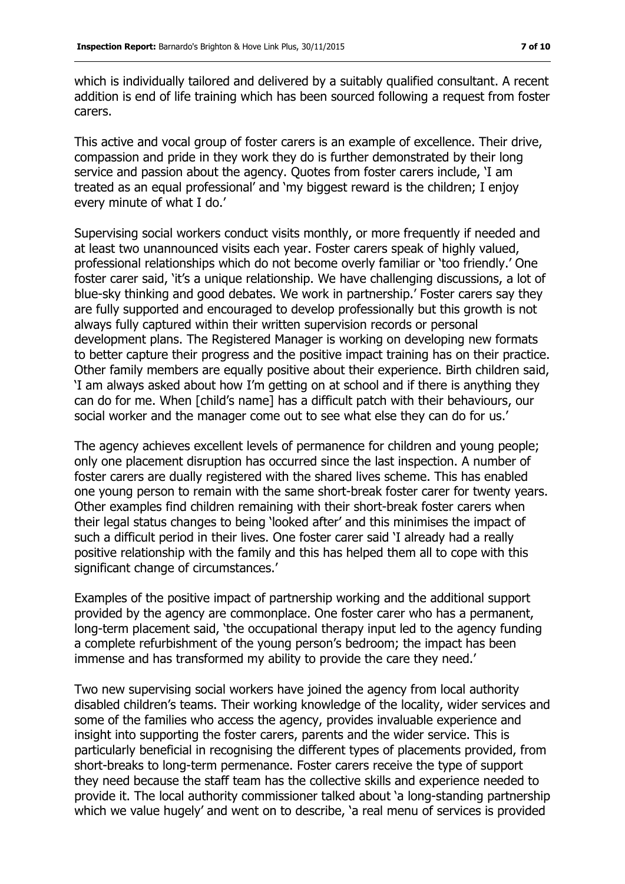which is individually tailored and delivered by a suitably qualified consultant. A recent addition is end of life training which has been sourced following a request from foster carers.

This active and vocal group of foster carers is an example of excellence. Their drive, compassion and pride in they work they do is further demonstrated by their long service and passion about the agency. Quotes from foster carers include, 'I am treated as an equal professional' and 'my biggest reward is the children; I enjoy every minute of what I do.'

Supervising social workers conduct visits monthly, or more frequently if needed and at least two unannounced visits each year. Foster carers speak of highly valued, professional relationships which do not become overly familiar or 'too friendly.' One foster carer said, 'it's a unique relationship. We have challenging discussions, a lot of blue-sky thinking and good debates. We work in partnership.' Foster carers say they are fully supported and encouraged to develop professionally but this growth is not always fully captured within their written supervision records or personal development plans. The Registered Manager is working on developing new formats to better capture their progress and the positive impact training has on their practice. Other family members are equally positive about their experience. Birth children said, 'I am always asked about how I'm getting on at school and if there is anything they can do for me. When [child's name] has a difficult patch with their behaviours, our social worker and the manager come out to see what else they can do for us.'

The agency achieves excellent levels of permanence for children and young people; only one placement disruption has occurred since the last inspection. A number of foster carers are dually registered with the shared lives scheme. This has enabled one young person to remain with the same short-break foster carer for twenty years. Other examples find children remaining with their short-break foster carers when their legal status changes to being 'looked after' and this minimises the impact of such a difficult period in their lives. One foster carer said 'I already had a really positive relationship with the family and this has helped them all to cope with this significant change of circumstances.'

Examples of the positive impact of partnership working and the additional support provided by the agency are commonplace. One foster carer who has a permanent, long-term placement said, 'the occupational therapy input led to the agency funding a complete refurbishment of the young person's bedroom; the impact has been immense and has transformed my ability to provide the care they need.'

Two new supervising social workers have joined the agency from local authority disabled children's teams. Their working knowledge of the locality, wider services and some of the families who access the agency, provides invaluable experience and insight into supporting the foster carers, parents and the wider service. This is particularly beneficial in recognising the different types of placements provided, from short-breaks to long-term permenance. Foster carers receive the type of support they need because the staff team has the collective skills and experience needed to provide it. The local authority commissioner talked about 'a long-standing partnership which we value hugely' and went on to describe, 'a real menu of services is provided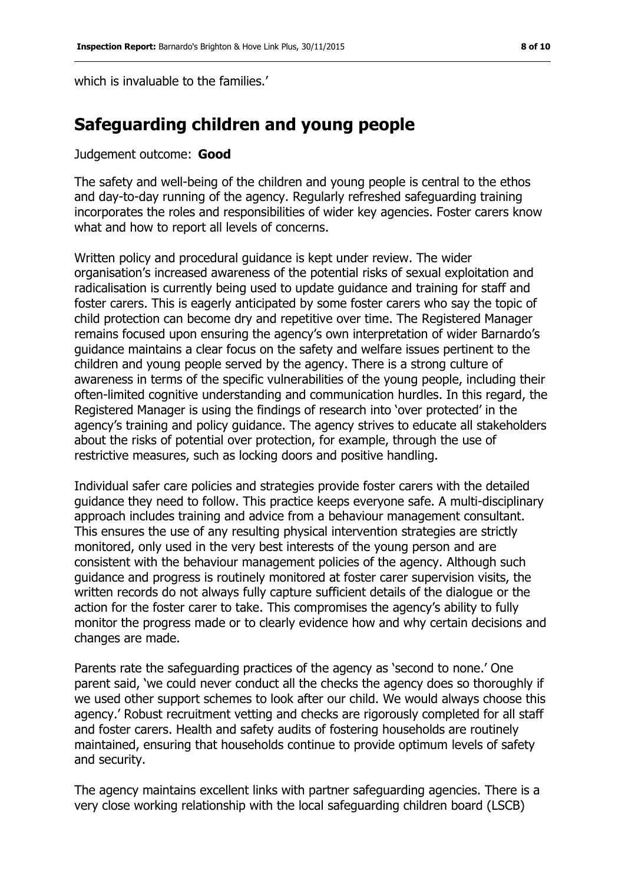which is invaluable to the families.

# **Safeguarding children and young people**

#### Judgement outcome: **Good**

The safety and well-being of the children and young people is central to the ethos and day-to-day running of the agency. Regularly refreshed safeguarding training incorporates the roles and responsibilities of wider key agencies. Foster carers know what and how to report all levels of concerns.

Written policy and procedural guidance is kept under review. The wider organisation's increased awareness of the potential risks of sexual exploitation and radicalisation is currently being used to update guidance and training for staff and foster carers. This is eagerly anticipated by some foster carers who say the topic of child protection can become dry and repetitive over time. The Registered Manager remains focused upon ensuring the agency's own interpretation of wider Barnardo's guidance maintains a clear focus on the safety and welfare issues pertinent to the children and young people served by the agency. There is a strong culture of awareness in terms of the specific vulnerabilities of the young people, including their often-limited cognitive understanding and communication hurdles. In this regard, the Registered Manager is using the findings of research into 'over protected' in the agency's training and policy guidance. The agency strives to educate all stakeholders about the risks of potential over protection, for example, through the use of restrictive measures, such as locking doors and positive handling.

Individual safer care policies and strategies provide foster carers with the detailed guidance they need to follow. This practice keeps everyone safe. A multi-disciplinary approach includes training and advice from a behaviour management consultant. This ensures the use of any resulting physical intervention strategies are strictly monitored, only used in the very best interests of the young person and are consistent with the behaviour management policies of the agency. Although such guidance and progress is routinely monitored at foster carer supervision visits, the written records do not always fully capture sufficient details of the dialogue or the action for the foster carer to take. This compromises the agency's ability to fully monitor the progress made or to clearly evidence how and why certain decisions and changes are made.

Parents rate the safeguarding practices of the agency as 'second to none.' One parent said, 'we could never conduct all the checks the agency does so thoroughly if we used other support schemes to look after our child. We would always choose this agency.' Robust recruitment vetting and checks are rigorously completed for all staff and foster carers. Health and safety audits of fostering households are routinely maintained, ensuring that households continue to provide optimum levels of safety and security.

The agency maintains excellent links with partner safeguarding agencies. There is a very close working relationship with the local safeguarding children board (LSCB)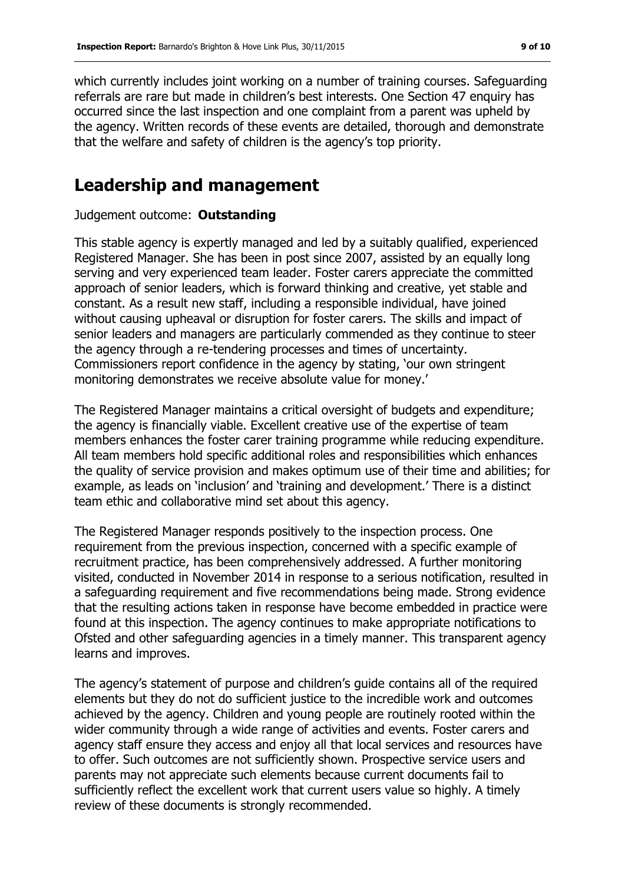which currently includes joint working on a number of training courses. Safeguarding referrals are rare but made in children's best interests. One Section 47 enquiry has occurred since the last inspection and one complaint from a parent was upheld by the agency. Written records of these events are detailed, thorough and demonstrate that the welfare and safety of children is the agency's top priority.

### **Leadership and management**

#### Judgement outcome: **Outstanding**

This stable agency is expertly managed and led by a suitably qualified, experienced Registered Manager. She has been in post since 2007, assisted by an equally long serving and very experienced team leader. Foster carers appreciate the committed approach of senior leaders, which is forward thinking and creative, yet stable and constant. As a result new staff, including a responsible individual, have joined without causing upheaval or disruption for foster carers. The skills and impact of senior leaders and managers are particularly commended as they continue to steer the agency through a re-tendering processes and times of uncertainty. Commissioners report confidence in the agency by stating, 'our own stringent monitoring demonstrates we receive absolute value for money.'

The Registered Manager maintains a critical oversight of budgets and expenditure; the agency is financially viable. Excellent creative use of the expertise of team members enhances the foster carer training programme while reducing expenditure. All team members hold specific additional roles and responsibilities which enhances the quality of service provision and makes optimum use of their time and abilities; for example, as leads on 'inclusion' and 'training and development.' There is a distinct team ethic and collaborative mind set about this agency.

The Registered Manager responds positively to the inspection process. One requirement from the previous inspection, concerned with a specific example of recruitment practice, has been comprehensively addressed. A further monitoring visited, conducted in November 2014 in response to a serious notification, resulted in a safeguarding requirement and five recommendations being made. Strong evidence that the resulting actions taken in response have become embedded in practice were found at this inspection. The agency continues to make appropriate notifications to Ofsted and other safeguarding agencies in a timely manner. This transparent agency learns and improves.

The agency's statement of purpose and children's guide contains all of the required elements but they do not do sufficient justice to the incredible work and outcomes achieved by the agency. Children and young people are routinely rooted within the wider community through a wide range of activities and events. Foster carers and agency staff ensure they access and enjoy all that local services and resources have to offer. Such outcomes are not sufficiently shown. Prospective service users and parents may not appreciate such elements because current documents fail to sufficiently reflect the excellent work that current users value so highly. A timely review of these documents is strongly recommended.